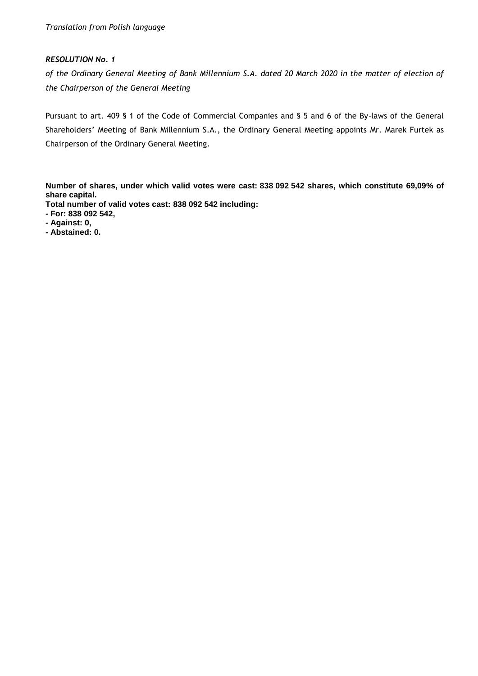*of the Ordinary General Meeting of Bank Millennium S.A. dated 20 March 2020 in the matter of election of the Chairperson of the General Meeting*

Pursuant to art. 409 § 1 of the Code of Commercial Companies and § 5 and 6 of the By-laws of the General Shareholders' Meeting of Bank Millennium S.A., the Ordinary General Meeting appoints Mr. Marek Furtek as Chairperson of the Ordinary General Meeting.

**Number of shares, under which valid votes were cast: 838 092 542 shares, which constitute 69,09% of share capital.**

- **- For: 838 092 542,**
- **- Against: 0,**
- **- Abstained: 0.**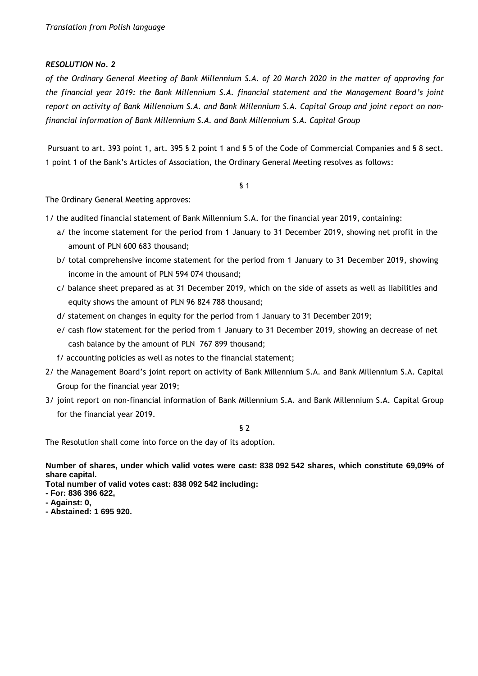*of the Ordinary General Meeting of Bank Millennium S.A. of 20 March 2020 in the matter of approving for the financial year 2019: the Bank Millennium S.A. financial statement and the Management Board's joint report on activity of Bank Millennium S.A. and Bank Millennium S.A. Capital Group and joint report on nonfinancial information of Bank Millennium S.A. and Bank Millennium S.A. Capital Group* 

Pursuant to art. 393 point 1, art. 395 § 2 point 1 and § 5 of the Code of Commercial Companies and § 8 sect. 1 point 1 of the Bank's Articles of Association, the Ordinary General Meeting resolves as follows:

§ 1

The Ordinary General Meeting approves:

1/ the audited financial statement of Bank Millennium S.A. for the financial year 2019, containing:

- a/ the income statement for the period from 1 January to 31 December 2019, showing net profit in the amount of PLN 600 683 thousand;
- b/ total comprehensive income statement for the period from 1 January to 31 December 2019, showing income in the amount of PLN 594 074 thousand;
- c/ balance sheet prepared as at 31 December 2019, which on the side of assets as well as liabilities and equity shows the amount of PLN 96 824 788 thousand;
- d/ statement on changes in equity for the period from 1 January to 31 December 2019;
- e/ cash flow statement for the period from 1 January to 31 December 2019, showing an decrease of net cash balance by the amount of PLN 767 899 thousand;
- f/ accounting policies as well as notes to the financial statement;
- 2/ the Management Board's joint report on activity of Bank Millennium S.A. and Bank Millennium S.A. Capital Group for the financial year 2019;
- 3/ joint report on non-financial information of Bank Millennium S.A. and Bank Millennium S.A. Capital Group for the financial year 2019.

§ 2

The Resolution shall come into force on the day of its adoption.

**Number of shares, under which valid votes were cast: 838 092 542 shares, which constitute 69,09% of share capital.**

- **- For: 836 396 622,**
- **- Against: 0,**
- **- Abstained: 1 695 920.**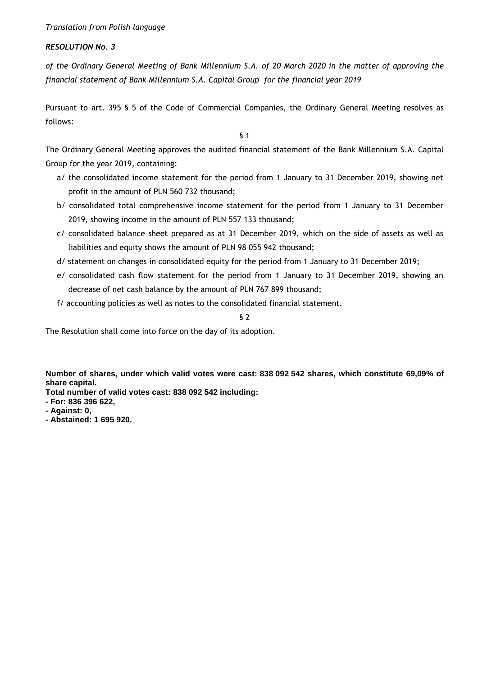## *RESOLUTION No. 3*

*of the Ordinary General Meeting of Bank Millennium S.A. of 20 March 2020 in the matter of approving the financial statement of Bank Millennium S.A. Capital Group for the financial year 2019*

Pursuant to art. 395 § 5 of the Code of Commercial Companies, the Ordinary General Meeting resolves as follows:

§ 1

The Ordinary General Meeting approves the audited financial statement of the Bank Millennium S.A. Capital Group for the year 2019, containing:

- a/ the consolidated income statement for the period from 1 January to 31 December 2019, showing net profit in the amount of PLN 560 732 thousand;
- b/ consolidated total comprehensive income statement for the period from 1 January to 31 December 2019, showing income in the amount of PLN 557 133 thousand;
- c/ consolidated balance sheet prepared as at 31 December 2019, which on the side of assets as well as liabilities and equity shows the amount of PLN 98 055 942 thousand;
- d/ statement on changes in consolidated equity for the period from 1 January to 31 December 2019;
- e/ consolidated cash flow statement for the period from 1 January to 31 December 2019, showing an decrease of net cash balance by the amount of PLN 767 899 thousand;
- f/ accounting policies as well as notes to the consolidated financial statement.

§ 2

The Resolution shall come into force on the day of its adoption.

**Number of shares, under which valid votes were cast: 838 092 542 shares, which constitute 69,09% of share capital.**

- **- For: 836 396 622,**
- **- Against: 0,**
- **- Abstained: 1 695 920.**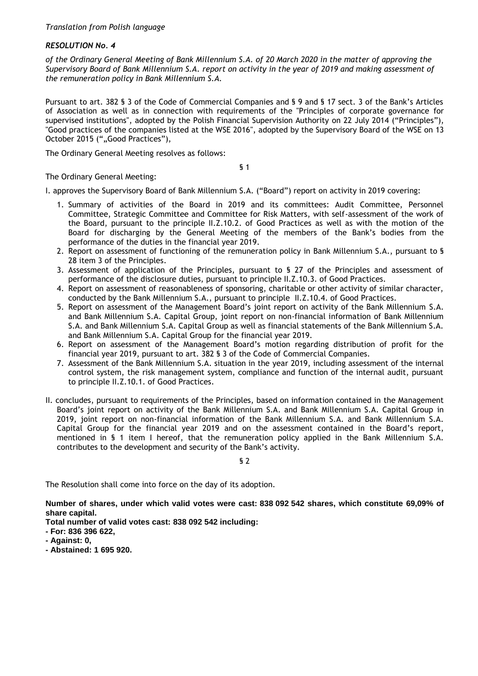*of the Ordinary General Meeting of Bank Millennium S.A. of 20 March 2020 in the matter of approving the Supervisory Board of Bank Millennium S.A. report on activity in the year of 2019 and making assessment of the remuneration policy in Bank Millennium S.A.*

Pursuant to art. 382 § 3 of the Code of Commercial Companies and § 9 and § 17 sect. 3 of the Bank's Articles of Association as well as in connection with requirements of the "Principles of corporate governance for supervised institutions", adopted by the Polish Financial Supervision Authority on 22 July 2014 ("Principles"), "Good practices of the companies listed at the WSE 2016", adopted by the Supervisory Board of the WSE on 13 October 2015 (""Good Practices"),

The Ordinary General Meeting resolves as follows:

§ 1

The Ordinary General Meeting:

I. approves the Supervisory Board of Bank Millennium S.A. ("Board") report on activity in 2019 covering:

- 1. Summary of activities of the Board in 2019 and its committees: Audit Committee, Personnel Committee, Strategic Committee and Committee for Risk Matters, with self-assessment of the work of the Board, pursuant to the principle II.Z.10.2. of Good Practices as well as with the motion of the Board for discharging by the General Meeting of the members of the Bank's bodies from the performance of the duties in the financial year 2019.
- 2. Report on assessment of functioning of the remuneration policy in Bank Millennium S.A., pursuant to § 28 item 3 of the Principles.
- 3. Assessment of application of the Principles, pursuant to § 27 of the Principles and assessment of performance of the disclosure duties, pursuant to principle II.Z.10.3. of Good Practices.
- 4. Report on assessment of reasonableness of sponsoring, charitable or other activity of similar character, conducted by the Bank Millennium S.A., pursuant to principle II.Z.10.4. of Good Practices.
- 5. Report on assessment of the Management Board's joint report on activity of the Bank Millennium S.A. and Bank Millennium S.A. Capital Group, joint report on non-financial information of Bank Millennium S.A. and Bank Millennium S.A. Capital Group as well as financial statements of the Bank Millennium S.A. and Bank Millennium S.A. Capital Group for the financial year 2019.
- 6. Report on assessment of the Management Board's motion regarding distribution of profit for the financial year 2019, pursuant to art. 382 § 3 of the Code of Commercial Companies.
- 7. Assessment of the Bank Millennium S.A. situation in the year 2019, including assessment of the internal control system, the risk management system, compliance and function of the internal audit, pursuant to principle II.Z.10.1. of Good Practices.
- II. concludes, pursuant to requirements of the Principles, based on information contained in the Management Board's joint report on activity of the Bank Millennium S.A. and Bank Millennium S.A. Capital Group in 2019, joint report on non-financial information of the Bank Millennium S.A. and Bank Millennium S.A. Capital Group for the financial year 2019 and on the assessment contained in the Board's report, mentioned in § 1 item I hereof, that the remuneration policy applied in the Bank Millennium S.A. contributes to the development and security of the Bank's activity.

§ 2

The Resolution shall come into force on the day of its adoption.

**Number of shares, under which valid votes were cast: 838 092 542 shares, which constitute 69,09% of share capital.**

- **- For: 836 396 622,**
- **- Against: 0,**
- **- Abstained: 1 695 920.**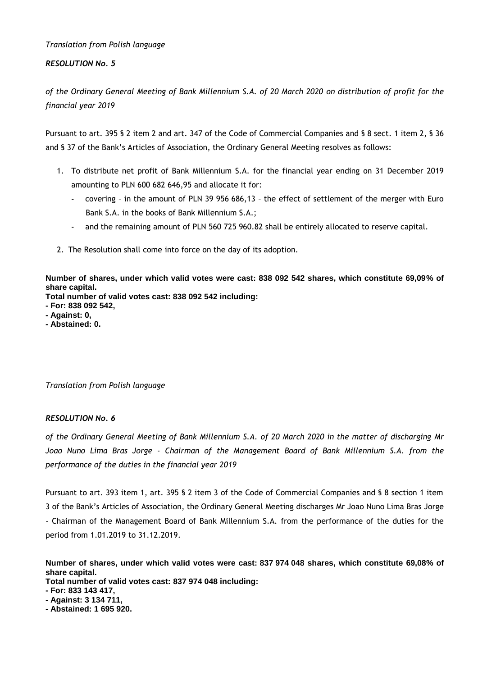## *RESOLUTION No. 5*

*of the Ordinary General Meeting of Bank Millennium S.A. of 20 March 2020 on distribution of profit for the financial year 2019*

Pursuant to art. 395 § 2 item 2 and art. 347 of the Code of Commercial Companies and § 8 sect. 1 item 2, § 36 and § 37 of the Bank's Articles of Association, the Ordinary General Meeting resolves as follows:

- 1. To distribute net profit of Bank Millennium S.A. for the financial year ending on 31 December 2019 amounting to PLN 600 682 646,95 and allocate it for:
	- covering in the amount of PLN 39 956 686,13 the effect of settlement of the merger with Euro Bank S.A. in the books of Bank Millennium S.A.;
	- and the remaining amount of PLN 560 725 960.82 shall be entirely allocated to reserve capital.
- 2. The Resolution shall come into force on the day of its adoption.

**Number of shares, under which valid votes were cast: 838 092 542 shares, which constitute 69,09% of share capital.**

**Total number of valid votes cast: 838 092 542 including:**

- **- For: 838 092 542,**
- **- Against: 0,**
- **- Abstained: 0.**

# *Translation from Polish language*

## *RESOLUTION No. 6*

*of the Ordinary General Meeting of Bank Millennium S.A. of 20 March 2020 in the matter of discharging Mr Joao Nuno Lima Bras Jorge - Chairman of the Management Board of Bank Millennium S.A. from the performance of the duties in the financial year 2019*

Pursuant to art. 393 item 1, art. 395 § 2 item 3 of the Code of Commercial Companies and § 8 section 1 item 3 of the Bank's Articles of Association, the Ordinary General Meeting discharges Mr Joao Nuno Lima Bras Jorge - Chairman of the Management Board of Bank Millennium S.A. from the performance of the duties for the period from 1.01.2019 to 31.12.2019.

**Number of shares, under which valid votes were cast: 837 974 048 shares, which constitute 69,08% of share capital.**

**Total number of valid votes cast: 837 974 048 including:**

**- For: 833 143 417,**

**- Against: 3 134 711,**

**- Abstained: 1 695 920.**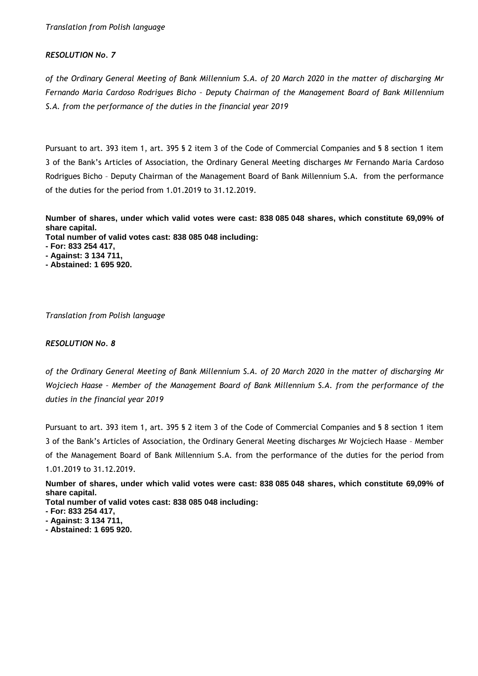## *RESOLUTION No. 7*

*of the Ordinary General Meeting of Bank Millennium S.A. of 20 March 2020 in the matter of discharging Mr Fernando Maria Cardoso Rodrigues Bicho – Deputy Chairman of the Management Board of Bank Millennium S.A. from the performance of the duties in the financial year 2019*

Pursuant to art. 393 item 1, art. 395 § 2 item 3 of the Code of Commercial Companies and § 8 section 1 item 3 of the Bank's Articles of Association, the Ordinary General Meeting discharges Mr Fernando Maria Cardoso Rodrigues Bicho – Deputy Chairman of the Management Board of Bank Millennium S.A. from the performance of the duties for the period from 1.01.2019 to 31.12.2019.

**Number of shares, under which valid votes were cast: 838 085 048 shares, which constitute 69,09% of share capital.**

**Total number of valid votes cast: 838 085 048 including:**

- **- For: 833 254 417,**
- **- Against: 3 134 711,**
- **- Abstained: 1 695 920.**

*Translation from Polish language* 

#### *RESOLUTION No. 8*

*of the Ordinary General Meeting of Bank Millennium S.A. of 20 March 2020 in the matter of discharging Mr Wojciech Haase – Member of the Management Board of Bank Millennium S.A. from the performance of the duties in the financial year 2019*

Pursuant to art. 393 item 1, art. 395 § 2 item 3 of the Code of Commercial Companies and § 8 section 1 item 3 of the Bank's Articles of Association, the Ordinary General Meeting discharges Mr Wojciech Haase – Member of the Management Board of Bank Millennium S.A. from the performance of the duties for the period from 1.01.2019 to 31.12.2019.

**Number of shares, under which valid votes were cast: 838 085 048 shares, which constitute 69,09% of share capital.**

- **- For: 833 254 417,**
- **- Against: 3 134 711,**
- **- Abstained: 1 695 920.**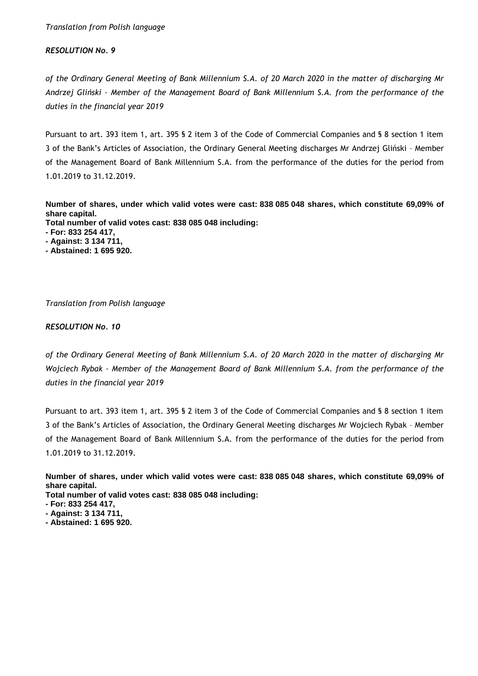## *RESOLUTION No. 9*

*of the Ordinary General Meeting of Bank Millennium S.A. of 20 March 2020 in the matter of discharging Mr Andrzej Gliński – Member of the Management Board of Bank Millennium S.A. from the performance of the duties in the financial year 2019*

Pursuant to art. 393 item 1, art. 395 § 2 item 3 of the Code of Commercial Companies and § 8 section 1 item 3 of the Bank's Articles of Association, the Ordinary General Meeting discharges Mr Andrzej Gliński – Member of the Management Board of Bank Millennium S.A. from the performance of the duties for the period from 1.01.2019 to 31.12.2019.

**Number of shares, under which valid votes were cast: 838 085 048 shares, which constitute 69,09% of share capital. Total number of valid votes cast: 838 085 048 including:**

- **- For: 833 254 417,**
- **- Against: 3 134 711,**
- **- Abstained: 1 695 920.**

## *Translation from Polish language*

#### *RESOLUTION No. 10*

*of the Ordinary General Meeting of Bank Millennium S.A. of 20 March 2020 in the matter of discharging Mr Wojciech Rybak – Member of the Management Board of Bank Millennium S.A. from the performance of the duties in the financial year 2019*

Pursuant to art. 393 item 1, art. 395 § 2 item 3 of the Code of Commercial Companies and § 8 section 1 item 3 of the Bank's Articles of Association, the Ordinary General Meeting discharges Mr Wojciech Rybak – Member of the Management Board of Bank Millennium S.A. from the performance of the duties for the period from 1.01.2019 to 31.12.2019.

**Number of shares, under which valid votes were cast: 838 085 048 shares, which constitute 69,09% of share capital.**

- **- For: 833 254 417,**
- **- Against: 3 134 711,**
- **- Abstained: 1 695 920.**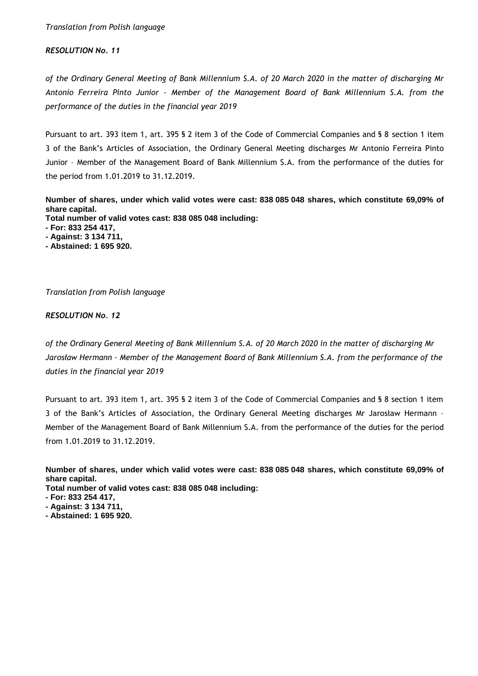## *RESOLUTION No. 11*

*of the Ordinary General Meeting of Bank Millennium S.A. of 20 March 2020 in the matter of discharging Mr Antonio Ferreira Pinto Junior – Member of the Management Board of Bank Millennium S.A. from the performance of the duties in the financial year 2019*

Pursuant to art. 393 item 1, art. 395 § 2 item 3 of the Code of Commercial Companies and § 8 section 1 item 3 of the Bank's Articles of Association, the Ordinary General Meeting discharges Mr Antonio Ferreira Pinto Junior – Member of the Management Board of Bank Millennium S.A. from the performance of the duties for the period from 1.01.2019 to 31.12.2019.

**Number of shares, under which valid votes were cast: 838 085 048 shares, which constitute 69,09% of share capital. Total number of valid votes cast: 838 085 048 including:**

- **- For: 833 254 417,**
- **- Against: 3 134 711,**
- **- Abstained: 1 695 920.**

*Translation from Polish language* 

## *RESOLUTION No. 12*

*of the Ordinary General Meeting of Bank Millennium S.A. of 20 March 2020 in the matter of discharging Mr Jarosław Hermann – Member of the Management Board of Bank Millennium S.A. from the performance of the duties in the financial year 2019*

Pursuant to art. 393 item 1, art. 395 § 2 item 3 of the Code of Commercial Companies and § 8 section 1 item 3 of the Bank's Articles of Association, the Ordinary General Meeting discharges Mr Jarosław Hermann – Member of the Management Board of Bank Millennium S.A. from the performance of the duties for the period from 1.01.2019 to 31.12.2019.

**Number of shares, under which valid votes were cast: 838 085 048 shares, which constitute 69,09% of share capital.**

- **- For: 833 254 417,**
- **- Against: 3 134 711,**
- **- Abstained: 1 695 920.**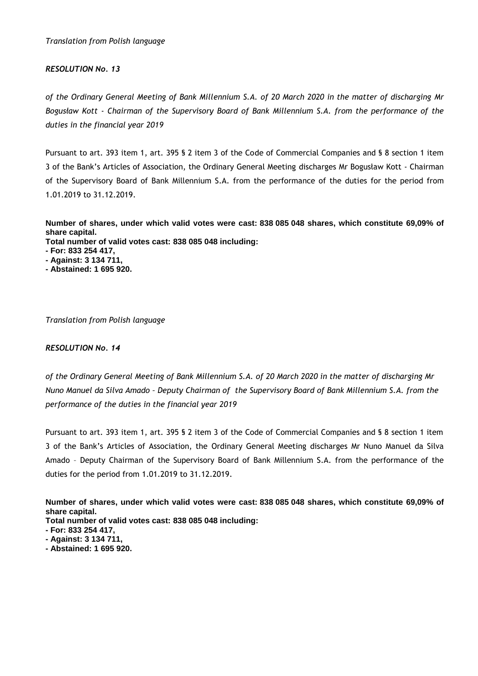## *RESOLUTION No. 13*

*of the Ordinary General Meeting of Bank Millennium S.A. of 20 March 2020 in the matter of discharging Mr Bogusław Kott - Chairman of the Supervisory Board of Bank Millennium S.A. from the performance of the duties in the financial year 2019*

Pursuant to art. 393 item 1, art. 395 § 2 item 3 of the Code of Commercial Companies and § 8 section 1 item 3 of the Bank's Articles of Association, the Ordinary General Meeting discharges Mr Bogusław Kott - Chairman of the Supervisory Board of Bank Millennium S.A. from the performance of the duties for the period from 1.01.2019 to 31.12.2019.

**Number of shares, under which valid votes were cast: 838 085 048 shares, which constitute 69,09% of share capital.**

**Total number of valid votes cast: 838 085 048 including:**

- **- For: 833 254 417,**
- **- Against: 3 134 711,**
- **- Abstained: 1 695 920.**

*Translation from Polish language* 

## *RESOLUTION No. 14*

*of the Ordinary General Meeting of Bank Millennium S.A. of 20 March 2020 in the matter of discharging Mr Nuno Manuel da Silva Amado – Deputy Chairman of the Supervisory Board of Bank Millennium S.A. from the performance of the duties in the financial year 2019*

Pursuant to art. 393 item 1, art. 395 § 2 item 3 of the Code of Commercial Companies and § 8 section 1 item 3 of the Bank's Articles of Association, the Ordinary General Meeting discharges Mr Nuno Manuel da Silva Amado – Deputy Chairman of the Supervisory Board of Bank Millennium S.A. from the performance of the duties for the period from 1.01.2019 to 31.12.2019.

**Number of shares, under which valid votes were cast: 838 085 048 shares, which constitute 69,09% of share capital.**

- **Total number of valid votes cast: 838 085 048 including:**
- **- For: 833 254 417,**
- **- Against: 3 134 711,**
- **- Abstained: 1 695 920.**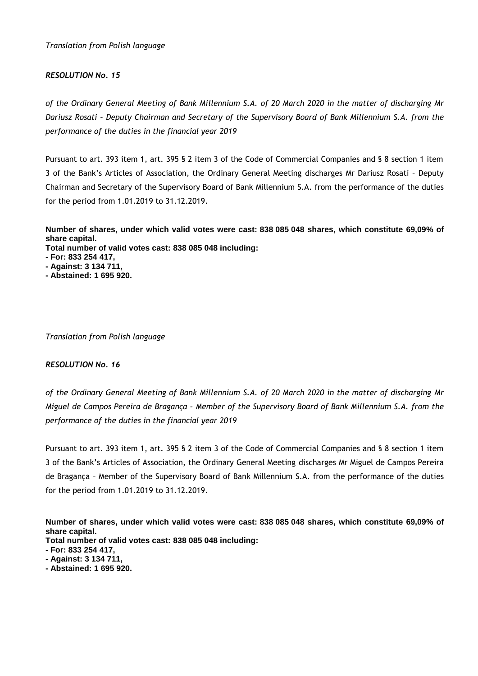## *RESOLUTION No. 15*

*of the Ordinary General Meeting of Bank Millennium S.A. of 20 March 2020 in the matter of discharging Mr Dariusz Rosati – Deputy Chairman and Secretary of the Supervisory Board of Bank Millennium S.A. from the performance of the duties in the financial year 2019*

Pursuant to art. 393 item 1, art. 395 § 2 item 3 of the Code of Commercial Companies and § 8 section 1 item 3 of the Bank's Articles of Association, the Ordinary General Meeting discharges Mr Dariusz Rosati – Deputy Chairman and Secretary of the Supervisory Board of Bank Millennium S.A. from the performance of the duties for the period from 1.01.2019 to 31.12.2019.

**Number of shares, under which valid votes were cast: 838 085 048 shares, which constitute 69,09% of share capital. Total number of valid votes cast: 838 085 048 including:**

- **- For: 833 254 417,**
- **- Against: 3 134 711, - Abstained: 1 695 920.**
- 

*Translation from Polish language* 

## *RESOLUTION No. 16*

*of the Ordinary General Meeting of Bank Millennium S.A. of 20 March 2020 in the matter of discharging Mr Miguel de Campos Pereira de Bragança – Member of the Supervisory Board of Bank Millennium S.A. from the performance of the duties in the financial year 2019*

Pursuant to art. 393 item 1, art. 395 § 2 item 3 of the Code of Commercial Companies and § 8 section 1 item 3 of the Bank's Articles of Association, the Ordinary General Meeting discharges Mr Miguel de Campos Pereira de Bragança – Member of the Supervisory Board of Bank Millennium S.A. from the performance of the duties for the period from 1.01.2019 to 31.12.2019.

**Number of shares, under which valid votes were cast: 838 085 048 shares, which constitute 69,09% of share capital.**

- **- For: 833 254 417,**
- **- Against: 3 134 711,**
- **- Abstained: 1 695 920.**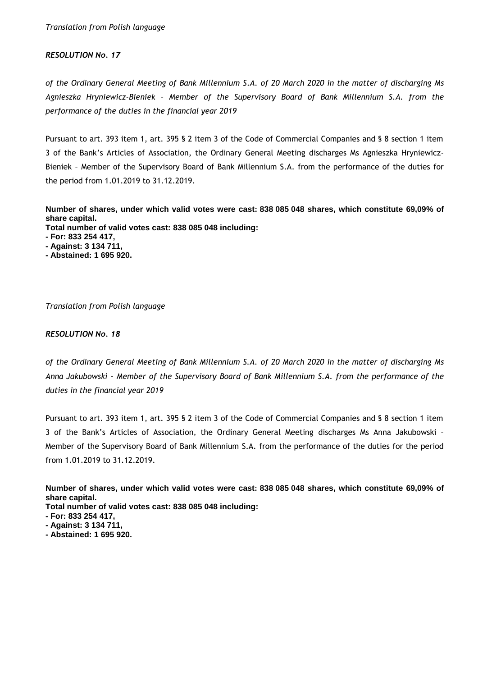#### *RESOLUTION No. 17*

*of the Ordinary General Meeting of Bank Millennium S.A. of 20 March 2020 in the matter of discharging Ms Agnieszka Hryniewicz-Bieniek – Member of the Supervisory Board of Bank Millennium S.A. from the performance of the duties in the financial year 2019*

Pursuant to art. 393 item 1, art. 395 § 2 item 3 of the Code of Commercial Companies and § 8 section 1 item 3 of the Bank's Articles of Association, the Ordinary General Meeting discharges Ms Agnieszka Hryniewicz-Bieniek – Member of the Supervisory Board of Bank Millennium S.A. from the performance of the duties for the period from 1.01.2019 to 31.12.2019.

**Number of shares, under which valid votes were cast: 838 085 048 shares, which constitute 69,09% of share capital.**

**Total number of valid votes cast: 838 085 048 including:**

- **- For: 833 254 417,**
- **- Against: 3 134 711,**
- **- Abstained: 1 695 920.**

*Translation from Polish language* 

#### *RESOLUTION No. 18*

*of the Ordinary General Meeting of Bank Millennium S.A. of 20 March 2020 in the matter of discharging Ms Anna Jakubowski – Member of the Supervisory Board of Bank Millennium S.A. from the performance of the duties in the financial year 2019*

Pursuant to art. 393 item 1, art. 395 § 2 item 3 of the Code of Commercial Companies and § 8 section 1 item 3 of the Bank's Articles of Association, the Ordinary General Meeting discharges Ms Anna Jakubowski – Member of the Supervisory Board of Bank Millennium S.A. from the performance of the duties for the period from 1.01.2019 to 31.12.2019.

**Number of shares, under which valid votes were cast: 838 085 048 shares, which constitute 69,09% of share capital.**

- **Total number of valid votes cast: 838 085 048 including:**
- **- For: 833 254 417,**
- **- Against: 3 134 711,**
- **- Abstained: 1 695 920.**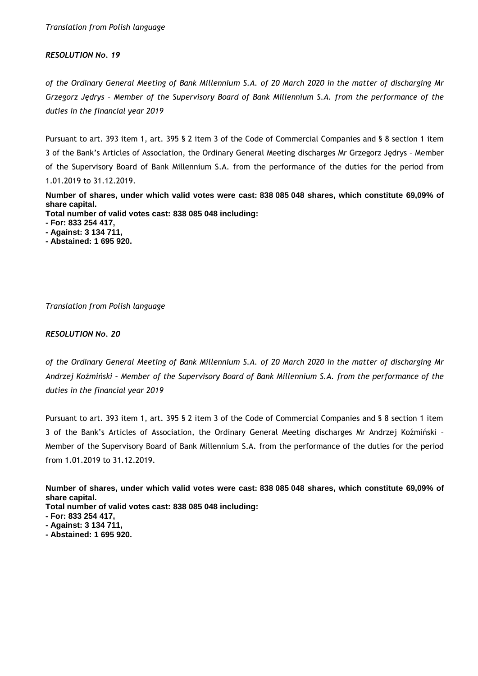*of the Ordinary General Meeting of Bank Millennium S.A. of 20 March 2020 in the matter of discharging Mr Grzegorz Jędrys – Member of the Supervisory Board of Bank Millennium S.A. from the performance of the duties in the financial year 2019*

Pursuant to art. 393 item 1, art. 395 § 2 item 3 of the Code of Commercial Companies and § 8 section 1 item 3 of the Bank's Articles of Association, the Ordinary General Meeting discharges Mr Grzegorz Jędrys – Member of the Supervisory Board of Bank Millennium S.A. from the performance of the duties for the period from 1.01.2019 to 31.12.2019.

**Number of shares, under which valid votes were cast: 838 085 048 shares, which constitute 69,09% of share capital.**

**Total number of valid votes cast: 838 085 048 including:**

**- For: 833 254 417,**

- **- Against: 3 134 711,**
- **- Abstained: 1 695 920.**

*Translation from Polish language* 

#### *RESOLUTION No. 20*

*of the Ordinary General Meeting of Bank Millennium S.A. of 20 March 2020 in the matter of discharging Mr Andrzej Koźmiński – Member of the Supervisory Board of Bank Millennium S.A. from the performance of the duties in the financial year 2019*

Pursuant to art. 393 item 1, art. 395 § 2 item 3 of the Code of Commercial Companies and § 8 section 1 item 3 of the Bank's Articles of Association, the Ordinary General Meeting discharges Mr Andrzej Koźmiński – Member of the Supervisory Board of Bank Millennium S.A. from the performance of the duties for the period from 1.01.2019 to 31.12.2019.

**Number of shares, under which valid votes were cast: 838 085 048 shares, which constitute 69,09% of share capital.**

- **- Against: 3 134 711,**
- **- Abstained: 1 695 920.**

**<sup>-</sup> For: 833 254 417,**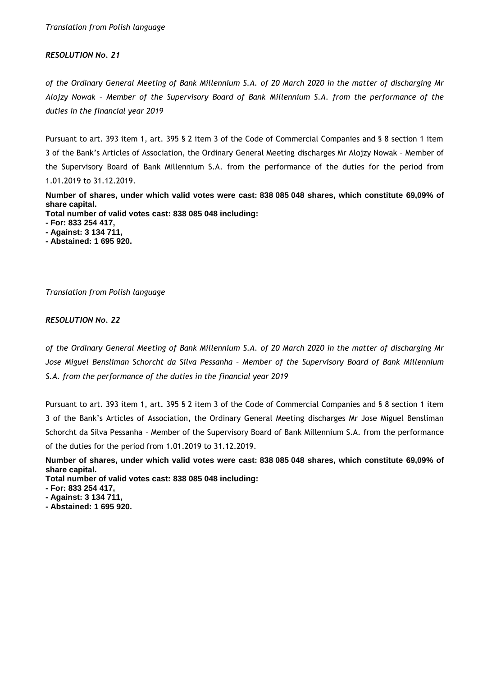*of the Ordinary General Meeting of Bank Millennium S.A. of 20 March 2020 in the matter of discharging Mr Alojzy Nowak – Member of the Supervisory Board of Bank Millennium S.A. from the performance of the duties in the financial year 2019*

Pursuant to art. 393 item 1, art. 395 § 2 item 3 of the Code of Commercial Companies and § 8 section 1 item 3 of the Bank's Articles of Association, the Ordinary General Meeting discharges Mr Alojzy Nowak – Member of the Supervisory Board of Bank Millennium S.A. from the performance of the duties for the period from 1.01.2019 to 31.12.2019.

**Number of shares, under which valid votes were cast: 838 085 048 shares, which constitute 69,09% of share capital.**

**Total number of valid votes cast: 838 085 048 including:**

**- For: 833 254 417,**

- **- Against: 3 134 711,**
- **- Abstained: 1 695 920.**

*Translation from Polish language* 

#### *RESOLUTION No. 22*

*of the Ordinary General Meeting of Bank Millennium S.A. of 20 March 2020 in the matter of discharging Mr Jose Miguel Bensliman Schorcht da Silva Pessanha – Member of the Supervisory Board of Bank Millennium S.A. from the performance of the duties in the financial year 2019*

Pursuant to art. 393 item 1, art. 395 § 2 item 3 of the Code of Commercial Companies and § 8 section 1 item 3 of the Bank's Articles of Association, the Ordinary General Meeting discharges Mr Jose Miguel Bensliman Schorcht da Silva Pessanha – Member of the Supervisory Board of Bank Millennium S.A. from the performance of the duties for the period from 1.01.2019 to 31.12.2019.

**Number of shares, under which valid votes were cast: 838 085 048 shares, which constitute 69,09% of share capital.**

**Total number of valid votes cast: 838 085 048 including:**

**- For: 833 254 417,**

**- Against: 3 134 711,**

**- Abstained: 1 695 920.**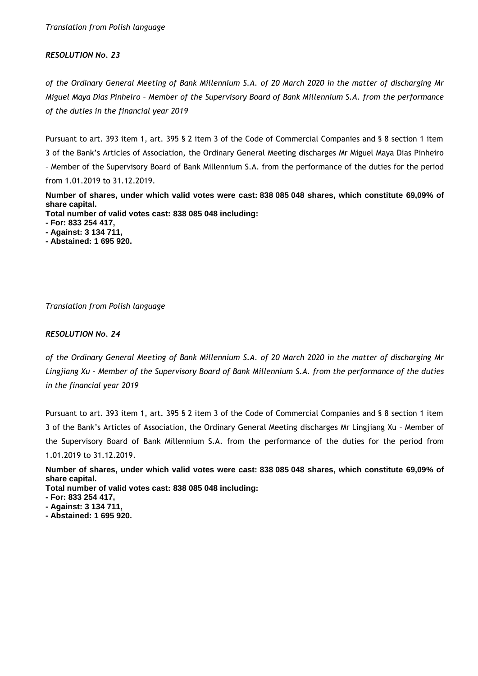## *RESOLUTION No. 23*

*of the Ordinary General Meeting of Bank Millennium S.A. of 20 March 2020 in the matter of discharging Mr Miguel Maya Dias Pinheiro – Member of the Supervisory Board of Bank Millennium S.A. from the performance of the duties in the financial year 2019*

Pursuant to art. 393 item 1, art. 395 § 2 item 3 of the Code of Commercial Companies and § 8 section 1 item 3 of the Bank's Articles of Association, the Ordinary General Meeting discharges Mr Miguel Maya Dias Pinheiro – Member of the Supervisory Board of Bank Millennium S.A. from the performance of the duties for the period from 1.01.2019 to 31.12.2019.

**Number of shares, under which valid votes were cast: 838 085 048 shares, which constitute 69,09% of share capital.**

**Total number of valid votes cast: 838 085 048 including:**

**- For: 833 254 417,**

- **- Against: 3 134 711,**
- **- Abstained: 1 695 920.**

*Translation from Polish language* 

#### *RESOLUTION No. 24*

*of the Ordinary General Meeting of Bank Millennium S.A. of 20 March 2020 in the matter of discharging Mr Lingjiang Xu – Member of the Supervisory Board of Bank Millennium S.A. from the performance of the duties in the financial year 2019*

Pursuant to art. 393 item 1, art. 395 § 2 item 3 of the Code of Commercial Companies and § 8 section 1 item 3 of the Bank's Articles of Association, the Ordinary General Meeting discharges Mr Lingjiang Xu – Member of the Supervisory Board of Bank Millennium S.A. from the performance of the duties for the period from 1.01.2019 to 31.12.2019.

**Number of shares, under which valid votes were cast: 838 085 048 shares, which constitute 69,09% of share capital.**

**Total number of valid votes cast: 838 085 048 including:**

**- For: 833 254 417,**

- **- Against: 3 134 711,**
- **- Abstained: 1 695 920.**